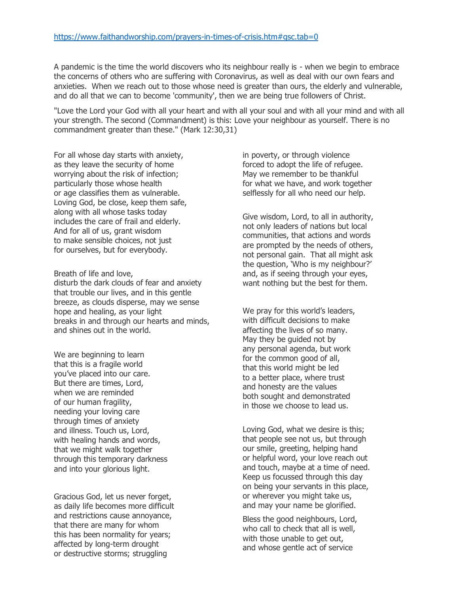A pandemic is the time the world discovers who its neighbour really is - when we begin to embrace the concerns of others who are suffering with Coronavirus, as well as deal with our own fears and anxieties. When we reach out to those whose need is greater than ours, the elderly and vulnerable, and do all that we can to become 'community', then we are being true followers of Christ.

"Love the Lord your God with all your heart and with all your soul and with all your mind and with all your strength. The second (Commandment) is this: Love your neighbour as yourself. There is no commandment greater than these." (Mark 12:30,31)

For all whose day starts with anxiety, as they leave the security of home worrying about the risk of infection; particularly those whose health or age classifies them as vulnerable. Loving God, be close, keep them safe, along with all whose tasks today includes the care of frail and elderly. And for all of us, grant wisdom to make sensible choices, not just for ourselves, but for everybody.

## Breath of life and love,

disturb the dark clouds of fear and anxiety that trouble our lives, and in this gentle breeze, as clouds disperse, may we sense hope and healing, as your light breaks in and through our hearts and minds, and shines out in the world.

We are beginning to learn that this is a fragile world you've placed into our care. But there are times, Lord, when we are reminded of our human fragility, needing your loving care through times of anxiety and illness. Touch us, Lord, with healing hands and words, that we might walk together through this temporary darkness and into your glorious light.

Gracious God, let us never forget, as daily life becomes more difficult and restrictions cause annoyance, that there are many for whom this has been normality for years; affected by long-term drought or destructive storms; struggling

in poverty, or through violence forced to adopt the life of refugee. May we remember to be thankful for what we have, and work together selflessly for all who need our help.

Give wisdom, Lord, to all in authority, not only leaders of nations but local communities, that actions and words are prompted by the needs of others, not personal gain. That all might ask the question, 'Who is my neighbour?' and, as if seeing through your eyes, want nothing but the best for them.

We pray for this world's leaders, with difficult decisions to make affecting the lives of so many. May they be guided not by any personal agenda, but work for the common good of all, that this world might be led to a better place, where trust and honesty are the values both sought and demonstrated in those we choose to lead us.

Loving God, what we desire is this; that people see not us, but through our smile, greeting, helping hand or helpful word, your love reach out and touch, maybe at a time of need. Keep us focussed through this day on being your servants in this place, or wherever you might take us, and may your name be glorified.

Bless the good neighbours, Lord, who call to check that all is well, with those unable to get out, and whose gentle act of service